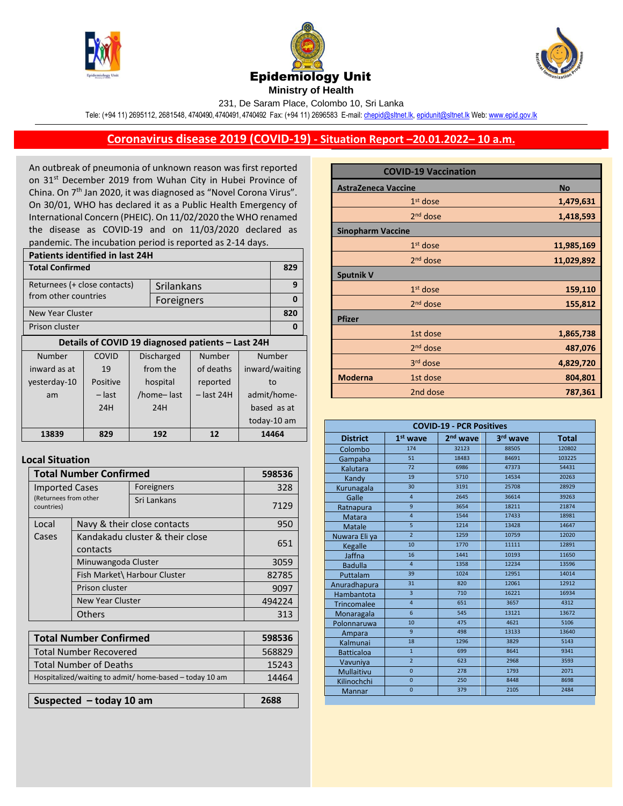





231, De Saram Place, Colombo 10, Sri Lanka

Tele: (+94 11) 2695112, 2681548, 4740490, 4740491, 4740492 Fax: (+94 11) 2696583 E-mail[: chepid@sltnet.lk,](mailto:chepi@sltnet.lk) [epidunit@sltnet.lk](mailto:epidunit@sltnet.lk) Web[: www.epid.gov.lk](http://www.epid.gov.lk/)

## **Coronavirus disease 2019 (COVID-19) - Situation Report –20.01.2022– 10 a.m.**

An outbreak of pneumonia of unknown reason was first reported on 31<sup>st</sup> December 2019 from Wuhan City in Hubei Province of China. On 7<sup>th</sup> Jan 2020, it was diagnosed as "Novel Corona Virus". On 30/01, WHO has declared it as a Public Health Emergency of International Concern (PHEIC). On 11/02/2020 the WHO renamed the disease as COVID-19 and on 11/03/2020 declared as pandemic. The incubation period is reported as 2-14 days.

| <b>Patients identified in last 24H</b> |          |                            |            |                                                   |                |             |
|----------------------------------------|----------|----------------------------|------------|---------------------------------------------------|----------------|-------------|
| <b>Total Confirmed</b>                 |          |                            |            |                                                   |                | 829         |
| Returnees (+ close contacts)           |          |                            | Srilankans |                                                   |                | 9           |
| from other countries                   |          |                            | Foreigners |                                                   |                | 0           |
| New Year Cluster                       |          |                            |            |                                                   |                | 820         |
| Prison cluster                         |          |                            |            |                                                   | 0              |             |
|                                        |          |                            |            | Details of COVID 19 diagnosed patients - Last 24H |                |             |
| Number                                 | COVID    | <b>Discharged</b>          |            | Number                                            | Number         |             |
| inward as at                           | 19       | from the                   |            | of deaths                                         | inward/waiting |             |
| yesterday-10                           | Positive |                            | hospital   | reported                                          | to             |             |
| am                                     | – last   | /home-last<br>$-$ last 24H |            |                                                   | admit/home-    |             |
|                                        | 24H      | 24H                        |            |                                                   | based as at    |             |
|                                        |          |                            |            |                                                   |                | today-10 am |
| 13839                                  | 829      | 192                        |            | 12                                                | 14464          |             |

## **Local Situation**

| <b>Total Number Confirmed</b>                           |                                             |                              | 598536 |  |  |
|---------------------------------------------------------|---------------------------------------------|------------------------------|--------|--|--|
| <b>Imported Cases</b>                                   |                                             | Foreigners                   | 328    |  |  |
| (Returnees from other<br>countries)                     |                                             | Sri Lankans                  | 7129   |  |  |
| Local                                                   |                                             | Navy & their close contacts  | 950    |  |  |
| Cases                                                   | Kandakadu cluster & their close<br>contacts | 651                          |        |  |  |
|                                                         | Minuwangoda Cluster                         |                              | 3059   |  |  |
|                                                         |                                             | Fish Market\ Harbour Cluster | 82785  |  |  |
| Prison cluster                                          |                                             |                              | 9097   |  |  |
| <b>New Year Cluster</b>                                 |                                             |                              | 494224 |  |  |
|                                                         | Others                                      |                              | 313    |  |  |
|                                                         |                                             |                              |        |  |  |
| <b>Total Number Confirmed</b>                           |                                             |                              | 598536 |  |  |
| <b>Total Number Recovered</b>                           |                                             |                              | 568829 |  |  |
| Total Number of Deaths                                  |                                             |                              | 15243  |  |  |
| Hospitalized/waiting to admit/ home-based - today 10 am |                                             |                              | 14464  |  |  |

**Suspected – today 10 am 2688**

|                            | <b>COVID-19 Vaccination</b> |            |
|----------------------------|-----------------------------|------------|
| <b>AstraZeneca Vaccine</b> | <b>No</b>                   |            |
|                            | $1st$ dose                  | 1,479,631  |
|                            | $2nd$ dose                  | 1,418,593  |
| <b>Sinopharm Vaccine</b>   |                             |            |
|                            | $1st$ dose                  | 11,985,169 |
|                            | $2nd$ dose                  | 11,029,892 |
| <b>Sputnik V</b>           |                             |            |
|                            | $1st$ dose                  | 159,110    |
|                            | 2 <sup>nd</sup> dose        | 155,812    |
| <b>Pfizer</b>              |                             |            |
|                            | 1st dose                    | 1,865,738  |
|                            | 2 <sup>nd</sup> dose        | 487,076    |
|                            | 3rd dose                    | 4,829,720  |
| <b>Moderna</b>             | 1st dose                    | 804,801    |
|                            | 2nd dose                    | 787,361    |

| <b>COVID-19 - PCR Positives</b> |                         |            |          |              |
|---------------------------------|-------------------------|------------|----------|--------------|
| <b>District</b>                 | $1st$ wave              | $2nd$ wave | 3rd wave | <b>Total</b> |
| Colombo                         | 174                     | 32123      | 88505    | 120802       |
| Gampaha                         | 51                      | 18483      | 84691    | 103225       |
| Kalutara                        | 72                      | 6986       | 47373    | 54431        |
| Kandy                           | 19                      | 5710       | 14534    | 20263        |
| Kurunagala                      | 30                      | 3191       | 25708    | 28929        |
| Galle                           | $\overline{4}$          | 2645       | 36614    | 39263        |
| Ratnapura                       | 9                       | 3654       | 18211    | 21874        |
| <b>Matara</b>                   | $\overline{4}$          | 1544       | 17433    | 18981        |
| <b>Matale</b>                   | 5                       | 1214       | 13428    | 14647        |
| Nuwara Eli ya                   | $\overline{2}$          | 1259       | 10759    | 12020        |
| <b>Kegalle</b>                  | 10                      | 1770       | 11111    | 12891        |
| Jaffna                          | 16                      | 1441       | 10193    | 11650        |
| <b>Badulla</b>                  | $\overline{4}$          | 1358       | 12234    | 13596        |
| Puttalam                        | 39                      | 1024       | 12951    | 14014        |
| Anuradhapura                    | 31                      | 820        | 12061    | 12912        |
| Hambantota                      | $\overline{\mathbf{3}}$ | 710        | 16221    | 16934        |
| <b>Trincomalee</b>              | $\overline{4}$          | 651        | 3657     | 4312         |
| Monaragala                      | 6                       | 545        | 13121    | 13672        |
| Polonnaruwa                     | 10                      | 475        | 4621     | 5106         |
| Ampara                          | 9                       | 498        | 13133    | 13640        |
| Kalmunai                        | 18                      | 1296       | 3829     | 5143         |
| <b>Batticaloa</b>               | $\overline{1}$          | 699        | 8641     | 9341         |
| Vavuniya                        | $\overline{2}$          | 623        | 2968     | 3593         |
| Mullaitivu                      | $\overline{0}$          | 278        | 1793     | 2071         |
| Kilinochchi                     | $\overline{0}$          | 250        | 8448     | 8698         |
| Mannar                          | $\overline{0}$          | 379        | 2105     | 2484         |